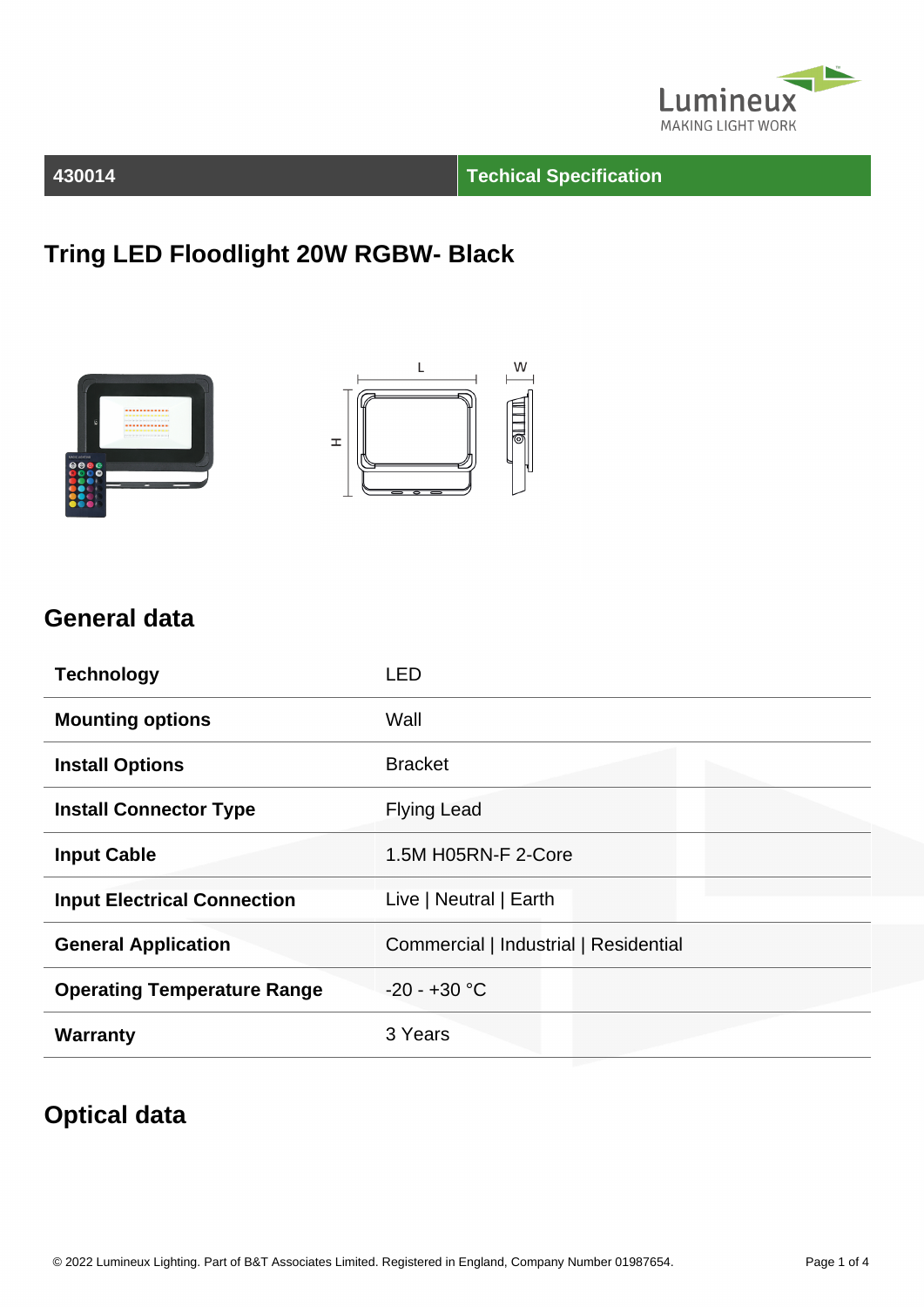

#### **430014 Techical Specification**

## **Tring LED Floodlight 20W RGBW- Black**





#### **General data**

| <b>Technology</b>                  | LED                                   |
|------------------------------------|---------------------------------------|
| <b>Mounting options</b>            | Wall                                  |
| <b>Install Options</b>             | <b>Bracket</b>                        |
| <b>Install Connector Type</b>      | <b>Flying Lead</b>                    |
| <b>Input Cable</b>                 | 1.5M H05RN-F 2-Core                   |
| <b>Input Electrical Connection</b> | Live   Neutral   Earth                |
| <b>General Application</b>         | Commercial   Industrial   Residential |
| <b>Operating Temperature Range</b> | $-20 - +30$ °C                        |
| <b>Warranty</b>                    | 3 Years                               |

### **Optical data**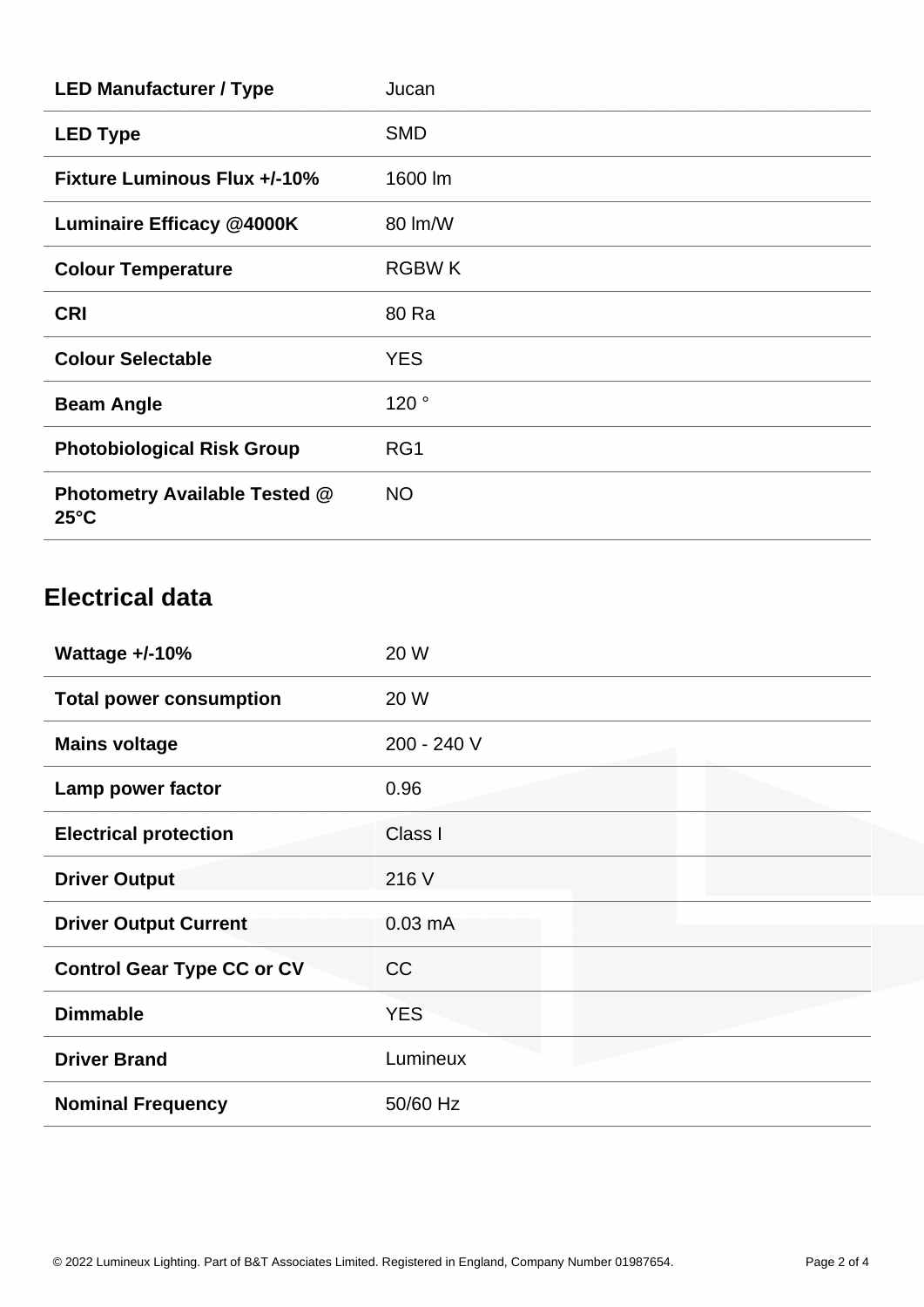| <b>LED Manufacturer / Type</b>                         | Jucan        |
|--------------------------------------------------------|--------------|
| <b>LED Type</b>                                        | <b>SMD</b>   |
| <b>Fixture Luminous Flux +/-10%</b>                    | 1600 lm      |
| <b>Luminaire Efficacy @4000K</b>                       | 80 lm/W      |
| <b>Colour Temperature</b>                              | <b>RGBWK</b> |
| <b>CRI</b>                                             | 80 Ra        |
| <b>Colour Selectable</b>                               | <b>YES</b>   |
| <b>Beam Angle</b>                                      | 120°         |
| <b>Photobiological Risk Group</b>                      | RG1          |
| <b>Photometry Available Tested @</b><br>$25^{\circ}$ C | <b>NO</b>    |

## **Electrical data**

| Wattage $+/-10%$                  | 20 W              |
|-----------------------------------|-------------------|
| <b>Total power consumption</b>    | 20 W              |
| <b>Mains voltage</b>              | 200 - 240 V       |
| Lamp power factor                 | 0.96              |
| <b>Electrical protection</b>      | Class I           |
| <b>Driver Output</b>              | 216 V             |
| <b>Driver Output Current</b>      | $0.03 \text{ mA}$ |
| <b>Control Gear Type CC or CV</b> | <b>CC</b>         |
| <b>Dimmable</b>                   | <b>YES</b>        |
| <b>Driver Brand</b>               | Lumineux          |
| <b>Nominal Frequency</b>          | 50/60 Hz          |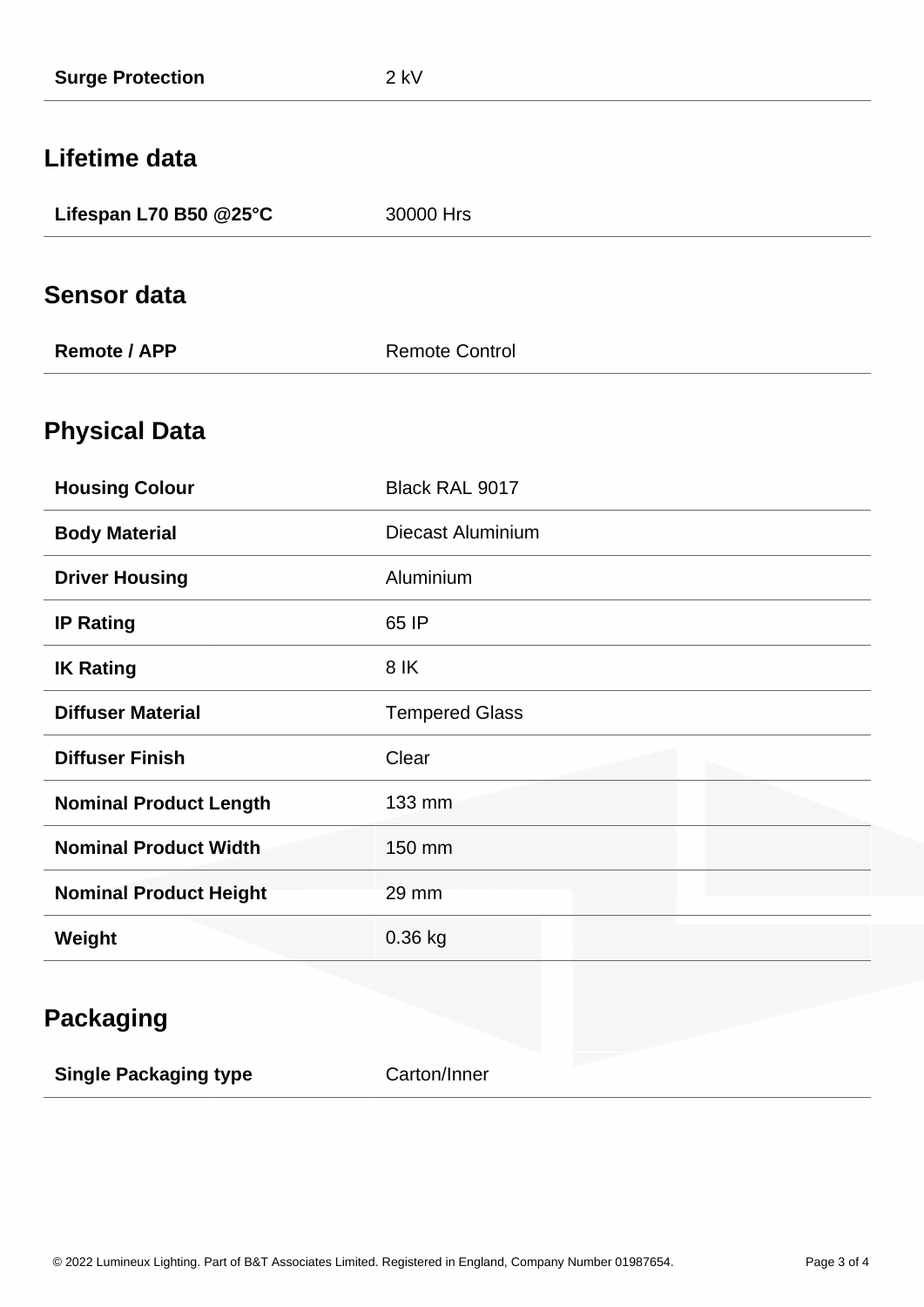| <b>Surge Protection</b>       | $2$ kV                   |
|-------------------------------|--------------------------|
| Lifetime data                 |                          |
| Lifespan L70 B50 @25°C        | 30000 Hrs                |
| <b>Sensor data</b>            |                          |
| <b>Remote / APP</b>           | <b>Remote Control</b>    |
| <b>Physical Data</b>          |                          |
| <b>Housing Colour</b>         | Black RAL 9017           |
| <b>Body Material</b>          | <b>Diecast Aluminium</b> |
| <b>Driver Housing</b>         | Aluminium                |
| <b>IP Rating</b>              | 65 IP                    |
| <b>IK Rating</b>              | 8 IK                     |
| <b>Diffuser Material</b>      | <b>Tempered Glass</b>    |
| <b>Diffuser Finish</b>        | Clear                    |
| <b>Nominal Product Length</b> | 133 mm                   |
| <b>Nominal Product Width</b>  | 150 mm                   |
| <b>Nominal Product Height</b> | 29 mm                    |
| Weight                        | 0.36 kg                  |
|                               |                          |
| <b>Packaging</b>              |                          |
| <b>Single Packaging type</b>  | Carton/Inner             |